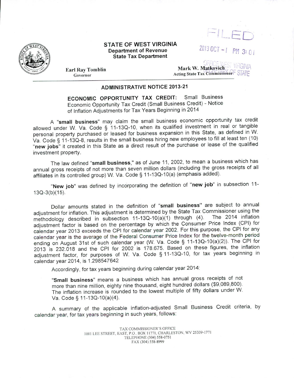

### STATE OF WEST VIRGINIA Department of Revenue State Tax Department



2013 OCT - *I* PM 3: 0

Earl Ray Tomblin Governor

## Mark W. Matkovich **VIRGINIA** Acting State Tax Commissioner FSTATE

## ADMINISTRATIVE NOTICE 2013-21

ECONOMIC OPPORTUNITY TAX CREDIT: Small Business Economic Opportunity Tax Credit (Small Business Credit) - Notice of Inflation Adjustments for Tax Years Beginning in 2014

A "small business" may claim the small business economic opportunity tax credit allowed under W. Va. Code § 11-130-10, when its qualified investment in real or tangible personal property purchased or leased for business expansion in this State, as defined in W. Va. Code§ 11-130-8, results in the small business hiring new employees to fill at least ten (10) "new jobs" it created in this State as a direct result of the purchase or lease of the qualified investment property.

The law defined "small business," as of June 11, 2002, to mean a business which has annual gross receipts of not more than seven million dollars (including the gross receipts of all affiliates in its controlled group) W. Va. Code § 11-13Q-10(a) (emphasis added).

"New job" was defined by incorporating the definition of "new job" in subsection 11-130-3(b)(15).

Dollar amounts stated in the definition of "small business" are subject to annual adjustment for inflation. This adjustment is determined by the State Tax Commissioner using the<br>mothodology described in subsection 11-13Q-10(a)(1) through (4). The 2014 inflation methodology described in subsection  $11-13Q-10(a)(1)$  through (4). adjustment factor is based on the percentage by which the Consumer Price Index (CPI) for calendar year 2013 exceeds the CPI for calendar year 2002. For this purpose, the CPI for any calendar year is the average of the Federal Consumer Price Index for the twelve-month period ending on August 31st of such calendar year (W. Va. Code§ <sup>11</sup> -130-10(a)(2)). The CPI for 2013 is 232.018 and the CPI for 2002 is 178.675. Based on these figures, the inflation adjustment factor, for purposes of W. Va. Code § 11-130-10, for tax years beginning in calendar year 2014, is 1.298547642

Accordingly, for tax years beginning during calendar year 2014:

"Small business" means a business which has annual gross receipts of not more than nine million, eighty nine thousand, eight hundred dollars (\$9,089,800). The inflation increase is rounded to the lowest multiple of fifty dollars under W. Va. Code§ 11-130-10(a)(4).

A summary of the applicable inflation-adjusted Small Business Credit criteria, by calendar year, for tax years beginning in such years, follows:

> TAX COMMISSIONER'S OFFICE <sup>1</sup>001 LEE STREET, EAST, P.O .. BOX 11<sup>771</sup> , CHARLESTON. WV 25339-1771 TELEPHONE (304) 558-075 1 FAX (304) 558-8999